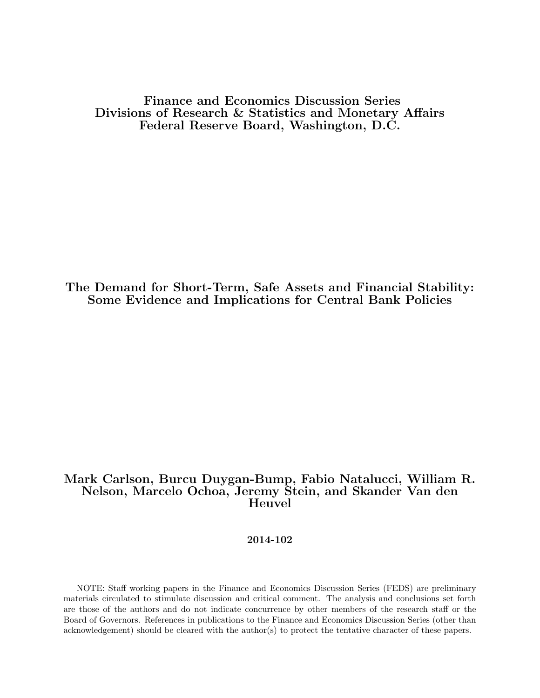Finance and Economics Discussion Series Divisions of Research & Statistics and Monetary Affairs Federal Reserve Board, Washington, D.C.

The Demand for Short-Term, Safe Assets and Financial Stability: Some Evidence and Implications for Central Bank Policies

# Mark Carlson, Burcu Duygan-Bump, Fabio Natalucci, William R. Nelson, Marcelo Ochoa, Jeremy Stein, and Skander Van den Heuvel

#### 2014-102

NOTE: Staff working papers in the Finance and Economics Discussion Series (FEDS) are preliminary materials circulated to stimulate discussion and critical comment. The analysis and conclusions set forth are those of the authors and do not indicate concurrence by other members of the research staff or the Board of Governors. References in publications to the Finance and Economics Discussion Series (other than acknowledgement) should be cleared with the author(s) to protect the tentative character of these papers.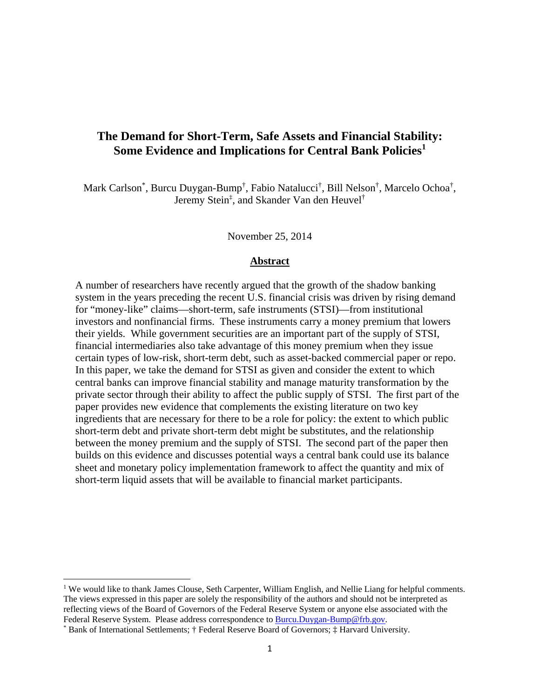# **The Demand for Short-Term, Safe Assets and Financial Stability: Some Evidence and Implications for Central Bank Policies<sup>1</sup>**

Mark Carlson<sup>\*</sup>, Burcu Duygan-Bump<sup>†</sup>, Fabio Natalucci<sup>†</sup>, Bill Nelson<sup>†</sup>, Marcelo Ochoa<sup>†</sup>, Jeremy Stein<sup>‡</sup>, and Skander Van den Heuvel<sup>†</sup>

November 25, 2014

#### **Abstract**

A number of researchers have recently argued that the growth of the shadow banking system in the years preceding the recent U.S. financial crisis was driven by rising demand for "money-like" claims—short-term, safe instruments (STSI)—from institutional investors and nonfinancial firms. These instruments carry a money premium that lowers their yields. While government securities are an important part of the supply of STSI, financial intermediaries also take advantage of this money premium when they issue certain types of low-risk, short-term debt, such as asset-backed commercial paper or repo. In this paper, we take the demand for STSI as given and consider the extent to which central banks can improve financial stability and manage maturity transformation by the private sector through their ability to affect the public supply of STSI. The first part of the paper provides new evidence that complements the existing literature on two key ingredients that are necessary for there to be a role for policy: the extent to which public short-term debt and private short-term debt might be substitutes, and the relationship between the money premium and the supply of STSI. The second part of the paper then builds on this evidence and discusses potential ways a central bank could use its balance sheet and monetary policy implementation framework to affect the quantity and mix of short-term liquid assets that will be available to financial market participants.

<sup>&</sup>lt;sup>1</sup> We would like to thank James Clouse, Seth Carpenter, William English, and Nellie Liang for helpful comments. The views expressed in this paper are solely the responsibility of the authors and should not be interpreted as reflecting views of the Board of Governors of the Federal Reserve System or anyone else associated with the Federal Reserve System. Please address correspondence to **Burcu.Duygan-Bump@frb.gov.** 

Bank of International Settlements; † Federal Reserve Board of Governors; ‡ Harvard University.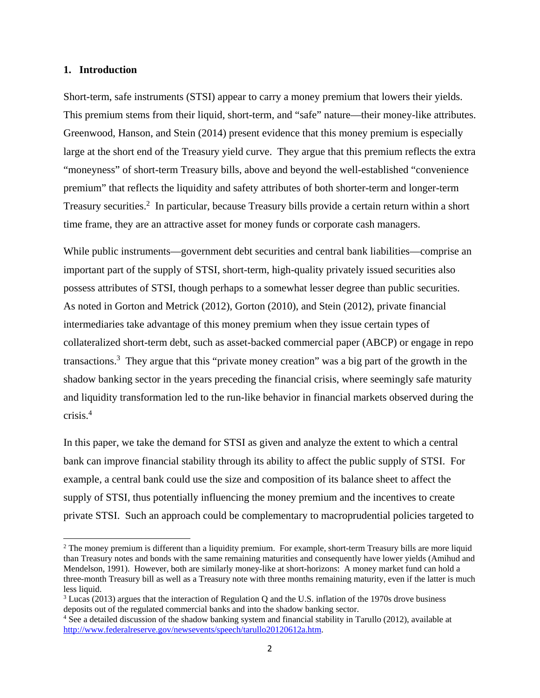#### **1. Introduction**

Short-term, safe instruments (STSI) appear to carry a money premium that lowers their yields. This premium stems from their liquid, short-term, and "safe" nature—their money-like attributes. Greenwood, Hanson, and Stein (2014) present evidence that this money premium is especially large at the short end of the Treasury yield curve. They argue that this premium reflects the extra "moneyness" of short-term Treasury bills, above and beyond the well-established "convenience premium" that reflects the liquidity and safety attributes of both shorter-term and longer-term Treasury securities.<sup>2</sup> In particular, because Treasury bills provide a certain return within a short time frame, they are an attractive asset for money funds or corporate cash managers.

While public instruments—government debt securities and central bank liabilities—comprise an important part of the supply of STSI, short-term, high-quality privately issued securities also possess attributes of STSI, though perhaps to a somewhat lesser degree than public securities. As noted in Gorton and Metrick (2012), Gorton (2010), and Stein (2012), private financial intermediaries take advantage of this money premium when they issue certain types of collateralized short-term debt, such as asset-backed commercial paper (ABCP) or engage in repo transactions.<sup>3</sup> They argue that this "private money creation" was a big part of the growth in the shadow banking sector in the years preceding the financial crisis, where seemingly safe maturity and liquidity transformation led to the run-like behavior in financial markets observed during the crisis.4

In this paper, we take the demand for STSI as given and analyze the extent to which a central bank can improve financial stability through its ability to affect the public supply of STSI. For example, a central bank could use the size and composition of its balance sheet to affect the supply of STSI, thus potentially influencing the money premium and the incentives to create private STSI. Such an approach could be complementary to macroprudential policies targeted to

<sup>&</sup>lt;sup>2</sup> The money premium is different than a liquidity premium. For example, short-term Treasury bills are more liquid than Treasury notes and bonds with the same remaining maturities and consequently have lower yields (Amihud and Mendelson, 1991). However, both are similarly money-like at short-horizons: A money market fund can hold a three-month Treasury bill as well as a Treasury note with three months remaining maturity, even if the latter is much less liquid.

<sup>&</sup>lt;sup>3</sup> Lucas (2013) argues that the interaction of Regulation Q and the U.S. inflation of the 1970s drove business deposits out of the regulated commercial banks and into the shadow banking sector.

<sup>4</sup> See a detailed discussion of the shadow banking system and financial stability in Tarullo (2012), available at http://www.federalreserve.gov/newsevents/speech/tarullo20120612a.htm.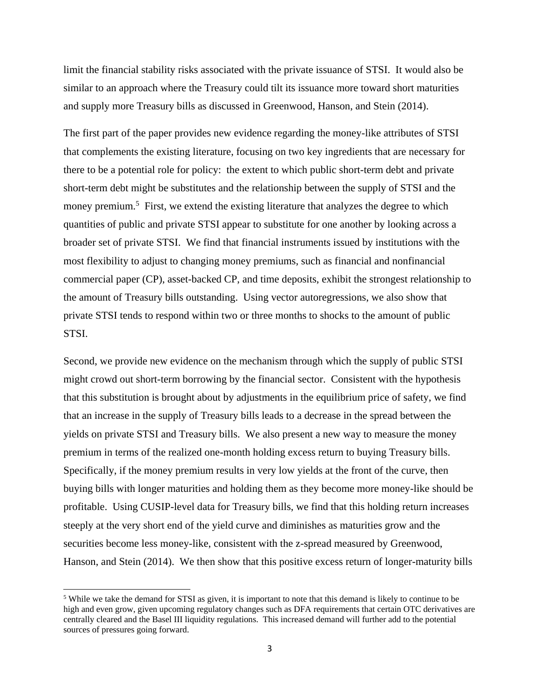limit the financial stability risks associated with the private issuance of STSI. It would also be similar to an approach where the Treasury could tilt its issuance more toward short maturities and supply more Treasury bills as discussed in Greenwood, Hanson, and Stein (2014).

The first part of the paper provides new evidence regarding the money-like attributes of STSI that complements the existing literature, focusing on two key ingredients that are necessary for there to be a potential role for policy: the extent to which public short-term debt and private short-term debt might be substitutes and the relationship between the supply of STSI and the money premium.<sup>5</sup> First, we extend the existing literature that analyzes the degree to which quantities of public and private STSI appear to substitute for one another by looking across a broader set of private STSI. We find that financial instruments issued by institutions with the most flexibility to adjust to changing money premiums, such as financial and nonfinancial commercial paper (CP), asset-backed CP, and time deposits, exhibit the strongest relationship to the amount of Treasury bills outstanding. Using vector autoregressions, we also show that private STSI tends to respond within two or three months to shocks to the amount of public STSI.

Second, we provide new evidence on the mechanism through which the supply of public STSI might crowd out short-term borrowing by the financial sector. Consistent with the hypothesis that this substitution is brought about by adjustments in the equilibrium price of safety, we find that an increase in the supply of Treasury bills leads to a decrease in the spread between the yields on private STSI and Treasury bills. We also present a new way to measure the money premium in terms of the realized one-month holding excess return to buying Treasury bills. Specifically, if the money premium results in very low yields at the front of the curve, then buying bills with longer maturities and holding them as they become more money-like should be profitable. Using CUSIP-level data for Treasury bills, we find that this holding return increases steeply at the very short end of the yield curve and diminishes as maturities grow and the securities become less money-like, consistent with the z-spread measured by Greenwood, Hanson, and Stein (2014). We then show that this positive excess return of longer-maturity bills

<sup>&</sup>lt;sup>5</sup> While we take the demand for STSI as given, it is important to note that this demand is likely to continue to be high and even grow, given upcoming regulatory changes such as DFA requirements that certain OTC derivatives are centrally cleared and the Basel III liquidity regulations. This increased demand will further add to the potential sources of pressures going forward.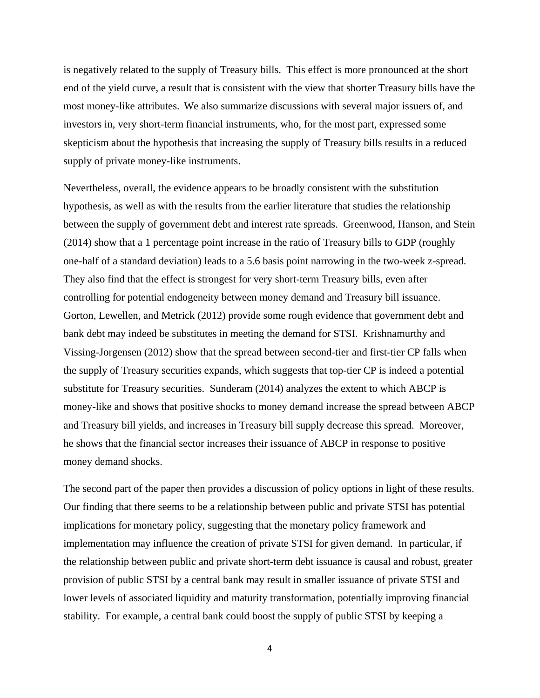is negatively related to the supply of Treasury bills. This effect is more pronounced at the short end of the yield curve, a result that is consistent with the view that shorter Treasury bills have the most money-like attributes. We also summarize discussions with several major issuers of, and investors in, very short-term financial instruments, who, for the most part, expressed some skepticism about the hypothesis that increasing the supply of Treasury bills results in a reduced supply of private money-like instruments.

Nevertheless, overall, the evidence appears to be broadly consistent with the substitution hypothesis, as well as with the results from the earlier literature that studies the relationship between the supply of government debt and interest rate spreads. Greenwood, Hanson, and Stein (2014) show that a 1 percentage point increase in the ratio of Treasury bills to GDP (roughly one-half of a standard deviation) leads to a 5.6 basis point narrowing in the two-week z-spread. They also find that the effect is strongest for very short-term Treasury bills, even after controlling for potential endogeneity between money demand and Treasury bill issuance. Gorton, Lewellen, and Metrick (2012) provide some rough evidence that government debt and bank debt may indeed be substitutes in meeting the demand for STSI. Krishnamurthy and Vissing-Jorgensen (2012) show that the spread between second-tier and first-tier CP falls when the supply of Treasury securities expands, which suggests that top-tier CP is indeed a potential substitute for Treasury securities. Sunderam (2014) analyzes the extent to which ABCP is money-like and shows that positive shocks to money demand increase the spread between ABCP and Treasury bill yields, and increases in Treasury bill supply decrease this spread. Moreover, he shows that the financial sector increases their issuance of ABCP in response to positive money demand shocks.

The second part of the paper then provides a discussion of policy options in light of these results. Our finding that there seems to be a relationship between public and private STSI has potential implications for monetary policy, suggesting that the monetary policy framework and implementation may influence the creation of private STSI for given demand. In particular, if the relationship between public and private short-term debt issuance is causal and robust, greater provision of public STSI by a central bank may result in smaller issuance of private STSI and lower levels of associated liquidity and maturity transformation, potentially improving financial stability. For example, a central bank could boost the supply of public STSI by keeping a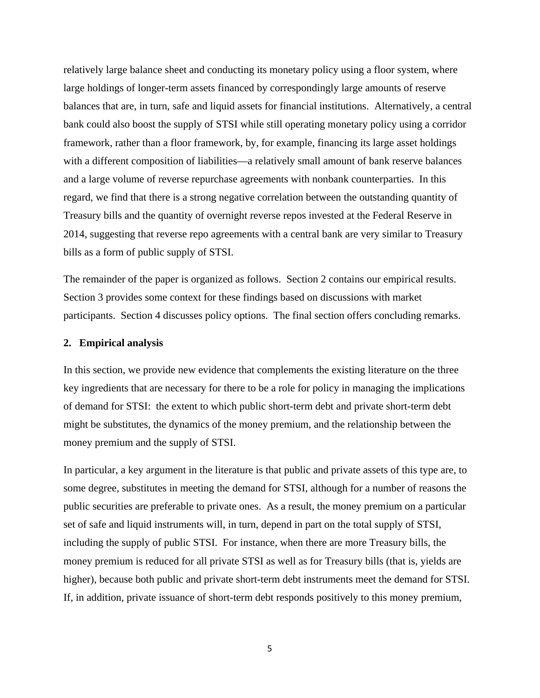relatively large balance sheet and conducting its monetary policy using a floor system, where large holdings of longer-term assets financed by correspondingly large amounts of reserve balances that are, in turn, safe and liquid assets for financial institutions. Alternatively, a central bank could also boost the supply of STSI while still operating monetary policy using a corridor framework, rather than a floor framework, by, for example, financing its large asset holdings with a different composition of liabilities—a relatively small amount of bank reserve balances and a large volume of reverse repurchase agreements with nonbank counterparties. In this regard, we find that there is a strong negative correlation between the outstanding quantity of Treasury bills and the quantity of overnight reverse repos invested at the Federal Reserve in 2014, suggesting that reverse repo agreements with a central bank are very similar to Treasury bills as a form of public supply of STSI.

The remainder of the paper is organized as follows. Section 2 contains our empirical results. Section 3 provides some context for these findings based on discussions with market participants. Section 4 discusses policy options. The final section offers concluding remarks.

#### **2. Empirical analysis**

In this section, we provide new evidence that complements the existing literature on the three key ingredients that are necessary for there to be a role for policy in managing the implications of demand for STSI: the extent to which public short-term debt and private short-term debt might be substitutes, the dynamics of the money premium, and the relationship between the money premium and the supply of STSI.

In particular, a key argument in the literature is that public and private assets of this type are, to some degree, substitutes in meeting the demand for STSI, although for a number of reasons the public securities are preferable to private ones. As a result, the money premium on a particular set of safe and liquid instruments will, in turn, depend in part on the total supply of STSI, including the supply of public STSI. For instance, when there are more Treasury bills, the money premium is reduced for all private STSI as well as for Treasury bills (that is, yields are higher), because both public and private short-term debt instruments meet the demand for STSI. If, in addition, private issuance of short-term debt responds positively to this money premium,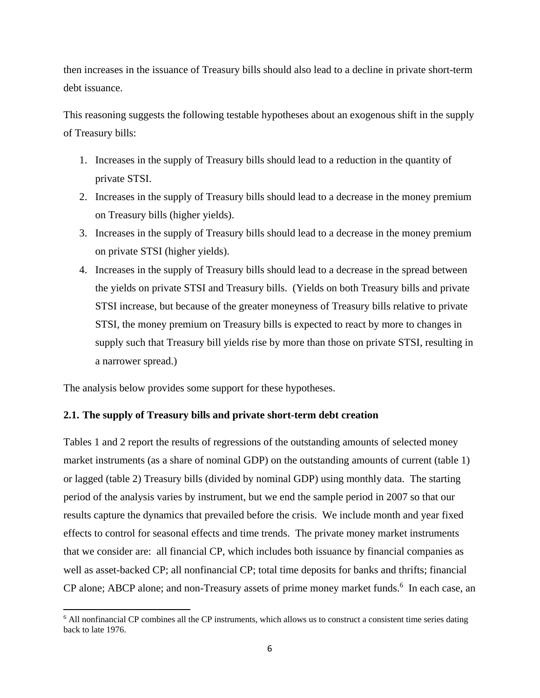then increases in the issuance of Treasury bills should also lead to a decline in private short-term debt issuance.

This reasoning suggests the following testable hypotheses about an exogenous shift in the supply of Treasury bills:

- 1. Increases in the supply of Treasury bills should lead to a reduction in the quantity of private STSI.
- 2. Increases in the supply of Treasury bills should lead to a decrease in the money premium on Treasury bills (higher yields).
- 3. Increases in the supply of Treasury bills should lead to a decrease in the money premium on private STSI (higher yields).
- 4. Increases in the supply of Treasury bills should lead to a decrease in the spread between the yields on private STSI and Treasury bills. (Yields on both Treasury bills and private STSI increase, but because of the greater moneyness of Treasury bills relative to private STSI, the money premium on Treasury bills is expected to react by more to changes in supply such that Treasury bill yields rise by more than those on private STSI, resulting in a narrower spread.)

The analysis below provides some support for these hypotheses.

#### **2.1. The supply of Treasury bills and private short-term debt creation**

Tables 1 and 2 report the results of regressions of the outstanding amounts of selected money market instruments (as a share of nominal GDP) on the outstanding amounts of current (table 1) or lagged (table 2) Treasury bills (divided by nominal GDP) using monthly data. The starting period of the analysis varies by instrument, but we end the sample period in 2007 so that our results capture the dynamics that prevailed before the crisis. We include month and year fixed effects to control for seasonal effects and time trends. The private money market instruments that we consider are: all financial CP, which includes both issuance by financial companies as well as asset-backed CP; all nonfinancial CP; total time deposits for banks and thrifts; financial CP alone; ABCP alone; and non-Treasury assets of prime money market funds.<sup>6</sup> In each case, an

 6 All nonfinancial CP combines all the CP instruments, which allows us to construct a consistent time series dating back to late 1976.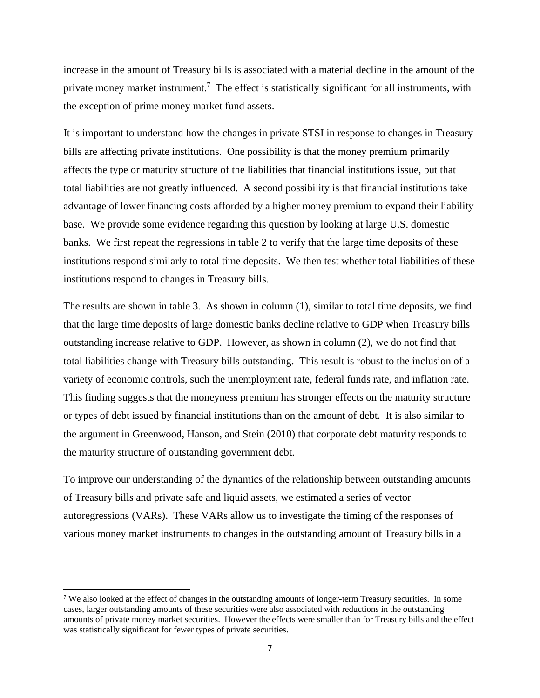increase in the amount of Treasury bills is associated with a material decline in the amount of the private money market instrument.<sup>7</sup> The effect is statistically significant for all instruments, with the exception of prime money market fund assets.

It is important to understand how the changes in private STSI in response to changes in Treasury bills are affecting private institutions. One possibility is that the money premium primarily affects the type or maturity structure of the liabilities that financial institutions issue, but that total liabilities are not greatly influenced. A second possibility is that financial institutions take advantage of lower financing costs afforded by a higher money premium to expand their liability base. We provide some evidence regarding this question by looking at large U.S. domestic banks. We first repeat the regressions in table 2 to verify that the large time deposits of these institutions respond similarly to total time deposits. We then test whether total liabilities of these institutions respond to changes in Treasury bills.

The results are shown in table 3. As shown in column (1), similar to total time deposits, we find that the large time deposits of large domestic banks decline relative to GDP when Treasury bills outstanding increase relative to GDP. However, as shown in column (2), we do not find that total liabilities change with Treasury bills outstanding. This result is robust to the inclusion of a variety of economic controls, such the unemployment rate, federal funds rate, and inflation rate. This finding suggests that the moneyness premium has stronger effects on the maturity structure or types of debt issued by financial institutions than on the amount of debt. It is also similar to the argument in Greenwood, Hanson, and Stein (2010) that corporate debt maturity responds to the maturity structure of outstanding government debt.

To improve our understanding of the dynamics of the relationship between outstanding amounts of Treasury bills and private safe and liquid assets, we estimated a series of vector autoregressions (VARs). These VARs allow us to investigate the timing of the responses of various money market instruments to changes in the outstanding amount of Treasury bills in a

<sup>&</sup>lt;sup>7</sup> We also looked at the effect of changes in the outstanding amounts of longer-term Treasury securities. In some cases, larger outstanding amounts of these securities were also associated with reductions in the outstanding amounts of private money market securities. However the effects were smaller than for Treasury bills and the effect was statistically significant for fewer types of private securities.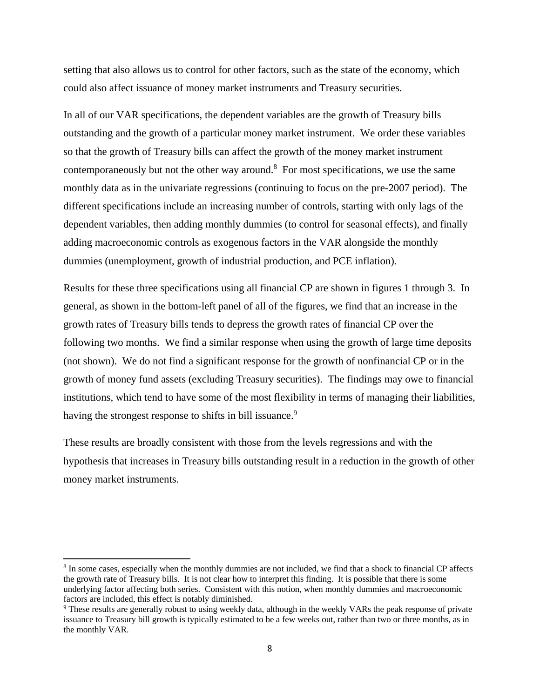setting that also allows us to control for other factors, such as the state of the economy, which could also affect issuance of money market instruments and Treasury securities.

In all of our VAR specifications, the dependent variables are the growth of Treasury bills outstanding and the growth of a particular money market instrument. We order these variables so that the growth of Treasury bills can affect the growth of the money market instrument contemporaneously but not the other way around.<sup>8</sup> For most specifications, we use the same monthly data as in the univariate regressions (continuing to focus on the pre-2007 period). The different specifications include an increasing number of controls, starting with only lags of the dependent variables, then adding monthly dummies (to control for seasonal effects), and finally adding macroeconomic controls as exogenous factors in the VAR alongside the monthly dummies (unemployment, growth of industrial production, and PCE inflation).

Results for these three specifications using all financial CP are shown in figures 1 through 3. In general, as shown in the bottom-left panel of all of the figures, we find that an increase in the growth rates of Treasury bills tends to depress the growth rates of financial CP over the following two months. We find a similar response when using the growth of large time deposits (not shown). We do not find a significant response for the growth of nonfinancial CP or in the growth of money fund assets (excluding Treasury securities). The findings may owe to financial institutions, which tend to have some of the most flexibility in terms of managing their liabilities, having the strongest response to shifts in bill issuance.<sup>9</sup>

These results are broadly consistent with those from the levels regressions and with the hypothesis that increases in Treasury bills outstanding result in a reduction in the growth of other money market instruments.

<sup>&</sup>lt;sup>8</sup> In some cases, especially when the monthly dummies are not included, we find that a shock to financial CP affects the growth rate of Treasury bills. It is not clear how to interpret this finding. It is possible that there is some underlying factor affecting both series. Consistent with this notion, when monthly dummies and macroeconomic factors are included, this effect is notably diminished.

<sup>&</sup>lt;sup>9</sup> These results are generally robust to using weekly data, although in the weekly VARs the peak response of private issuance to Treasury bill growth is typically estimated to be a few weeks out, rather than two or three months, as in the monthly VAR.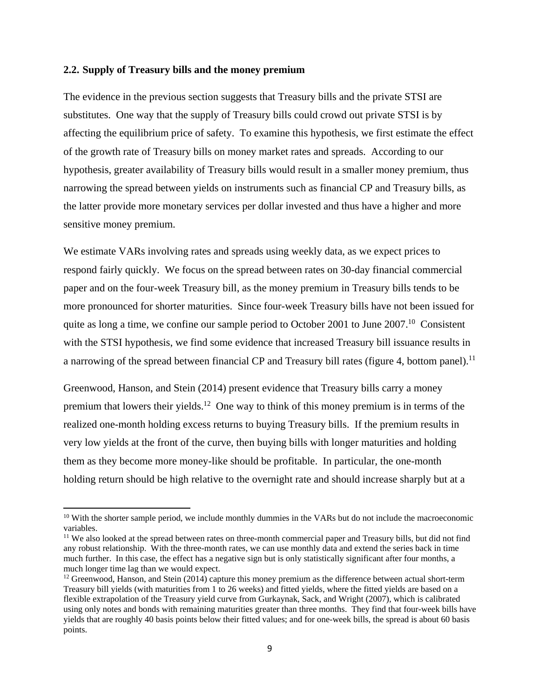#### **2.2. Supply of Treasury bills and the money premium**

The evidence in the previous section suggests that Treasury bills and the private STSI are substitutes. One way that the supply of Treasury bills could crowd out private STSI is by affecting the equilibrium price of safety. To examine this hypothesis, we first estimate the effect of the growth rate of Treasury bills on money market rates and spreads. According to our hypothesis, greater availability of Treasury bills would result in a smaller money premium, thus narrowing the spread between yields on instruments such as financial CP and Treasury bills, as the latter provide more monetary services per dollar invested and thus have a higher and more sensitive money premium.

We estimate VARs involving rates and spreads using weekly data, as we expect prices to respond fairly quickly. We focus on the spread between rates on 30-day financial commercial paper and on the four-week Treasury bill, as the money premium in Treasury bills tends to be more pronounced for shorter maturities. Since four-week Treasury bills have not been issued for quite as long a time, we confine our sample period to October 2001 to June 2007.<sup>10</sup> Consistent with the STSI hypothesis, we find some evidence that increased Treasury bill issuance results in a narrowing of the spread between financial CP and Treasury bill rates (figure 4, bottom panel).<sup>11</sup>

Greenwood, Hanson, and Stein (2014) present evidence that Treasury bills carry a money premium that lowers their yields.<sup>12</sup> One way to think of this money premium is in terms of the realized one-month holding excess returns to buying Treasury bills. If the premium results in very low yields at the front of the curve, then buying bills with longer maturities and holding them as they become more money-like should be profitable. In particular, the one-month holding return should be high relative to the overnight rate and should increase sharply but at a

<sup>&</sup>lt;sup>10</sup> With the shorter sample period, we include monthly dummies in the VARs but do not include the macroeconomic variables.

<sup>&</sup>lt;sup>11</sup> We also looked at the spread between rates on three-month commercial paper and Treasury bills, but did not find any robust relationship. With the three-month rates, we can use monthly data and extend the series back in time much further. In this case, the effect has a negative sign but is only statistically significant after four months, a much longer time lag than we would expect.

<sup>&</sup>lt;sup>12</sup> Greenwood, Hanson, and Stein (2014) capture this money premium as the difference between actual short-term Treasury bill yields (with maturities from 1 to 26 weeks) and fitted yields, where the fitted yields are based on a flexible extrapolation of the Treasury yield curve from Gurkaynak, Sack, and Wright (2007), which is calibrated using only notes and bonds with remaining maturities greater than three months. They find that four-week bills have yields that are roughly 40 basis points below their fitted values; and for one-week bills, the spread is about 60 basis points.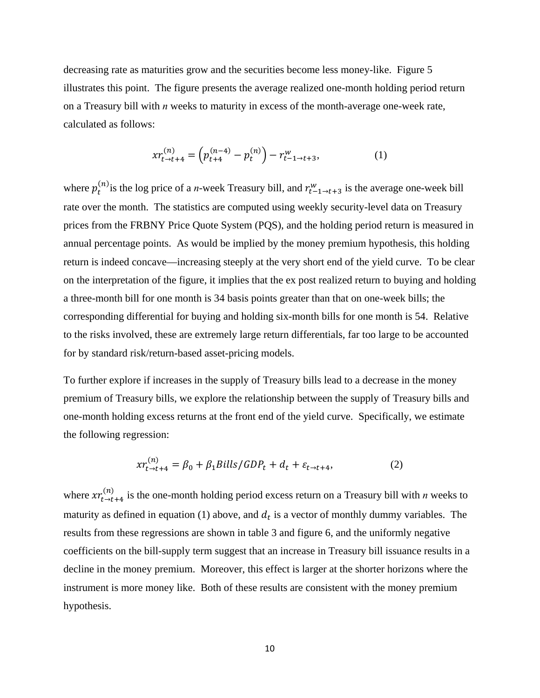decreasing rate as maturities grow and the securities become less money-like. Figure 5 illustrates this point. The figure presents the average realized one-month holding period return on a Treasury bill with *n* weeks to maturity in excess of the month-average one-week rate, calculated as follows:

$$
xr_{t\to t+4}^{(n)} = \left(p_{t+4}^{(n-4)} - p_t^{(n)}\right) - r_{t-1\to t+3}^w,\tag{1}
$$

where  $p_t^{(n)}$  is the log price of a *n*-week Treasury bill, and  $r_{t-1\to t+3}^W$  is the average one-week bill rate over the month. The statistics are computed using weekly security-level data on Treasury prices from the FRBNY Price Quote System (PQS), and the holding period return is measured in annual percentage points. As would be implied by the money premium hypothesis, this holding return is indeed concave—increasing steeply at the very short end of the yield curve. To be clear on the interpretation of the figure, it implies that the ex post realized return to buying and holding a three-month bill for one month is 34 basis points greater than that on one-week bills; the corresponding differential for buying and holding six-month bills for one month is 54. Relative to the risks involved, these are extremely large return differentials, far too large to be accounted for by standard risk/return-based asset-pricing models.

To further explore if increases in the supply of Treasury bills lead to a decrease in the money premium of Treasury bills, we explore the relationship between the supply of Treasury bills and one-month holding excess returns at the front end of the yield curve. Specifically, we estimate the following regression:

$$
xr_{t\to t+4}^{(n)} = \beta_0 + \beta_1Bills/GDP_t + d_t + \varepsilon_{t\to t+4},\tag{2}
$$

where  $xr_{t\rightarrow t+4}^{(n)}$  is the one-month holding period excess return on a Treasury bill with *n* weeks to maturity as defined in equation (1) above, and  $d_t$  is a vector of monthly dummy variables. The results from these regressions are shown in table 3 and figure 6, and the uniformly negative coefficients on the bill-supply term suggest that an increase in Treasury bill issuance results in a decline in the money premium. Moreover, this effect is larger at the shorter horizons where the instrument is more money like. Both of these results are consistent with the money premium hypothesis.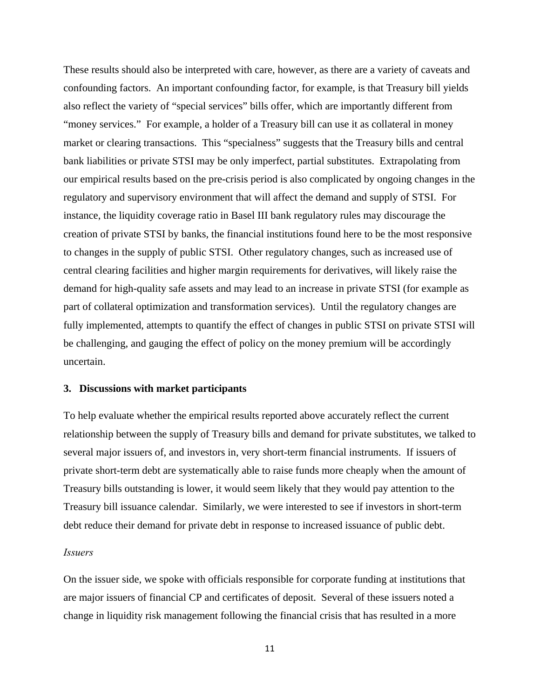These results should also be interpreted with care, however, as there are a variety of caveats and confounding factors. An important confounding factor, for example, is that Treasury bill yields also reflect the variety of "special services" bills offer, which are importantly different from "money services." For example, a holder of a Treasury bill can use it as collateral in money market or clearing transactions. This "specialness" suggests that the Treasury bills and central bank liabilities or private STSI may be only imperfect, partial substitutes. Extrapolating from our empirical results based on the pre-crisis period is also complicated by ongoing changes in the regulatory and supervisory environment that will affect the demand and supply of STSI. For instance, the liquidity coverage ratio in Basel III bank regulatory rules may discourage the creation of private STSI by banks, the financial institutions found here to be the most responsive to changes in the supply of public STSI. Other regulatory changes, such as increased use of central clearing facilities and higher margin requirements for derivatives, will likely raise the demand for high-quality safe assets and may lead to an increase in private STSI (for example as part of collateral optimization and transformation services). Until the regulatory changes are fully implemented, attempts to quantify the effect of changes in public STSI on private STSI will be challenging, and gauging the effect of policy on the money premium will be accordingly uncertain.

#### **3. Discussions with market participants**

To help evaluate whether the empirical results reported above accurately reflect the current relationship between the supply of Treasury bills and demand for private substitutes, we talked to several major issuers of, and investors in, very short-term financial instruments. If issuers of private short-term debt are systematically able to raise funds more cheaply when the amount of Treasury bills outstanding is lower, it would seem likely that they would pay attention to the Treasury bill issuance calendar. Similarly, we were interested to see if investors in short-term debt reduce their demand for private debt in response to increased issuance of public debt.

#### *Issuers*

On the issuer side, we spoke with officials responsible for corporate funding at institutions that are major issuers of financial CP and certificates of deposit. Several of these issuers noted a change in liquidity risk management following the financial crisis that has resulted in a more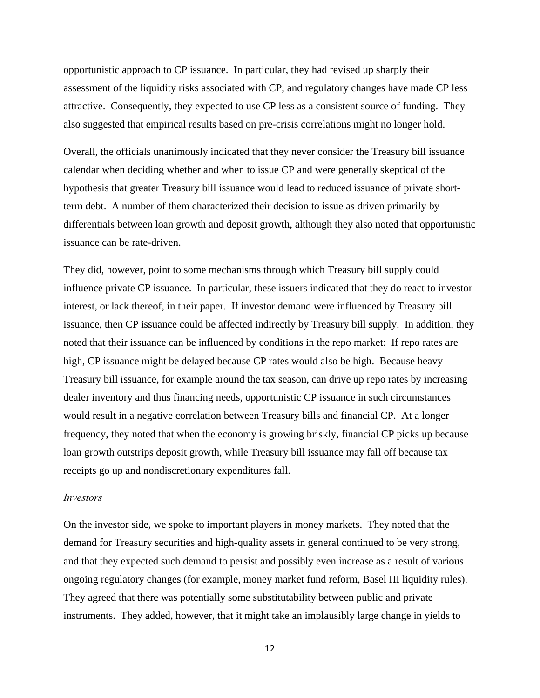opportunistic approach to CP issuance. In particular, they had revised up sharply their assessment of the liquidity risks associated with CP, and regulatory changes have made CP less attractive. Consequently, they expected to use CP less as a consistent source of funding. They also suggested that empirical results based on pre-crisis correlations might no longer hold.

Overall, the officials unanimously indicated that they never consider the Treasury bill issuance calendar when deciding whether and when to issue CP and were generally skeptical of the hypothesis that greater Treasury bill issuance would lead to reduced issuance of private shortterm debt. A number of them characterized their decision to issue as driven primarily by differentials between loan growth and deposit growth, although they also noted that opportunistic issuance can be rate-driven.

They did, however, point to some mechanisms through which Treasury bill supply could influence private CP issuance. In particular, these issuers indicated that they do react to investor interest, or lack thereof, in their paper. If investor demand were influenced by Treasury bill issuance, then CP issuance could be affected indirectly by Treasury bill supply. In addition, they noted that their issuance can be influenced by conditions in the repo market: If repo rates are high, CP issuance might be delayed because CP rates would also be high. Because heavy Treasury bill issuance, for example around the tax season, can drive up repo rates by increasing dealer inventory and thus financing needs, opportunistic CP issuance in such circumstances would result in a negative correlation between Treasury bills and financial CP. At a longer frequency, they noted that when the economy is growing briskly, financial CP picks up because loan growth outstrips deposit growth, while Treasury bill issuance may fall off because tax receipts go up and nondiscretionary expenditures fall.

#### *Investors*

On the investor side, we spoke to important players in money markets. They noted that the demand for Treasury securities and high-quality assets in general continued to be very strong, and that they expected such demand to persist and possibly even increase as a result of various ongoing regulatory changes (for example, money market fund reform, Basel III liquidity rules). They agreed that there was potentially some substitutability between public and private instruments. They added, however, that it might take an implausibly large change in yields to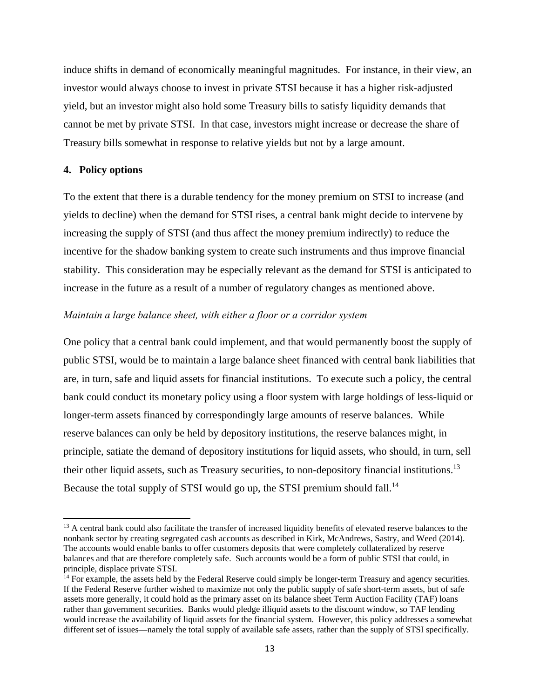induce shifts in demand of economically meaningful magnitudes. For instance, in their view, an investor would always choose to invest in private STSI because it has a higher risk-adjusted yield, but an investor might also hold some Treasury bills to satisfy liquidity demands that cannot be met by private STSI. In that case, investors might increase or decrease the share of Treasury bills somewhat in response to relative yields but not by a large amount.

#### **4. Policy options**

To the extent that there is a durable tendency for the money premium on STSI to increase (and yields to decline) when the demand for STSI rises, a central bank might decide to intervene by increasing the supply of STSI (and thus affect the money premium indirectly) to reduce the incentive for the shadow banking system to create such instruments and thus improve financial stability. This consideration may be especially relevant as the demand for STSI is anticipated to increase in the future as a result of a number of regulatory changes as mentioned above.

### *Maintain a large balance sheet, with either a floor or a corridor system*

One policy that a central bank could implement, and that would permanently boost the supply of public STSI, would be to maintain a large balance sheet financed with central bank liabilities that are, in turn, safe and liquid assets for financial institutions. To execute such a policy, the central bank could conduct its monetary policy using a floor system with large holdings of less-liquid or longer-term assets financed by correspondingly large amounts of reserve balances. While reserve balances can only be held by depository institutions, the reserve balances might, in principle, satiate the demand of depository institutions for liquid assets, who should, in turn, sell their other liquid assets, such as Treasury securities, to non-depository financial institutions.<sup>13</sup> Because the total supply of STSI would go up, the STSI premium should fall.<sup>14</sup>

<sup>&</sup>lt;sup>13</sup> A central bank could also facilitate the transfer of increased liquidity benefits of elevated reserve balances to the nonbank sector by creating segregated cash accounts as described in Kirk, McAndrews, Sastry, and Weed (2014). The accounts would enable banks to offer customers deposits that were completely collateralized by reserve balances and that are therefore completely safe. Such accounts would be a form of public STSI that could, in principle, displace private STSI.

<sup>&</sup>lt;sup>14</sup> For example, the assets held by the Federal Reserve could simply be longer-term Treasury and agency securities. If the Federal Reserve further wished to maximize not only the public supply of safe short-term assets, but of safe assets more generally, it could hold as the primary asset on its balance sheet Term Auction Facility (TAF) loans rather than government securities. Banks would pledge illiquid assets to the discount window, so TAF lending would increase the availability of liquid assets for the financial system. However, this policy addresses a somewhat different set of issues—namely the total supply of available safe assets, rather than the supply of STSI specifically.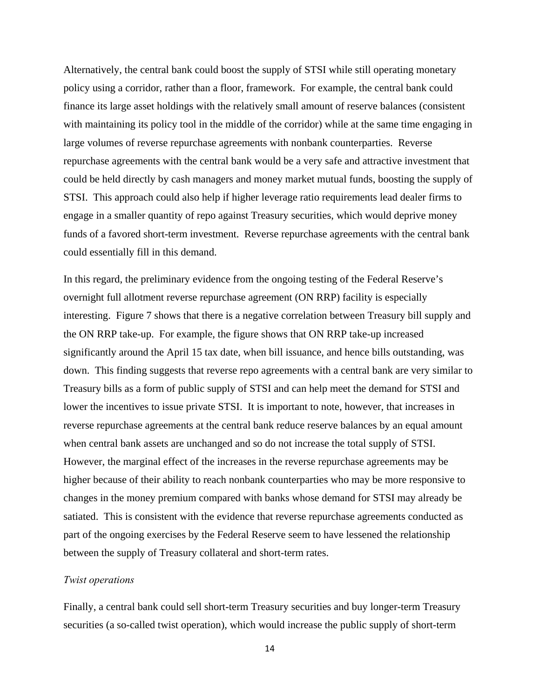Alternatively, the central bank could boost the supply of STSI while still operating monetary policy using a corridor, rather than a floor, framework. For example, the central bank could finance its large asset holdings with the relatively small amount of reserve balances (consistent with maintaining its policy tool in the middle of the corridor) while at the same time engaging in large volumes of reverse repurchase agreements with nonbank counterparties. Reverse repurchase agreements with the central bank would be a very safe and attractive investment that could be held directly by cash managers and money market mutual funds, boosting the supply of STSI. This approach could also help if higher leverage ratio requirements lead dealer firms to engage in a smaller quantity of repo against Treasury securities, which would deprive money funds of a favored short-term investment. Reverse repurchase agreements with the central bank could essentially fill in this demand.

In this regard, the preliminary evidence from the ongoing testing of the Federal Reserve's overnight full allotment reverse repurchase agreement (ON RRP) facility is especially interesting. Figure 7 shows that there is a negative correlation between Treasury bill supply and the ON RRP take-up. For example, the figure shows that ON RRP take-up increased significantly around the April 15 tax date, when bill issuance, and hence bills outstanding, was down. This finding suggests that reverse repo agreements with a central bank are very similar to Treasury bills as a form of public supply of STSI and can help meet the demand for STSI and lower the incentives to issue private STSI. It is important to note, however, that increases in reverse repurchase agreements at the central bank reduce reserve balances by an equal amount when central bank assets are unchanged and so do not increase the total supply of STSI. However, the marginal effect of the increases in the reverse repurchase agreements may be higher because of their ability to reach nonbank counterparties who may be more responsive to changes in the money premium compared with banks whose demand for STSI may already be satiated. This is consistent with the evidence that reverse repurchase agreements conducted as part of the ongoing exercises by the Federal Reserve seem to have lessened the relationship between the supply of Treasury collateral and short-term rates.

#### *Twist operations*

Finally, a central bank could sell short-term Treasury securities and buy longer-term Treasury securities (a so-called twist operation), which would increase the public supply of short-term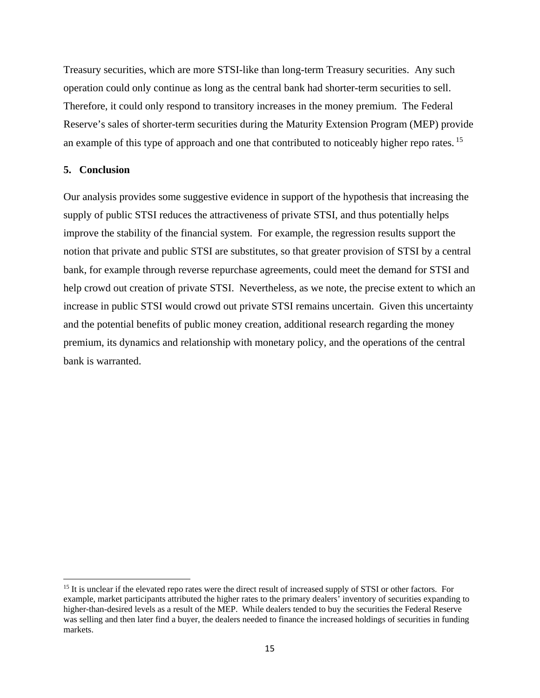Treasury securities, which are more STSI-like than long-term Treasury securities. Any such operation could only continue as long as the central bank had shorter-term securities to sell. Therefore, it could only respond to transitory increases in the money premium. The Federal Reserve's sales of shorter-term securities during the Maturity Extension Program (MEP) provide an example of this type of approach and one that contributed to noticeably higher repo rates. 15

#### **5. Conclusion**

Our analysis provides some suggestive evidence in support of the hypothesis that increasing the supply of public STSI reduces the attractiveness of private STSI, and thus potentially helps improve the stability of the financial system. For example, the regression results support the notion that private and public STSI are substitutes, so that greater provision of STSI by a central bank, for example through reverse repurchase agreements, could meet the demand for STSI and help crowd out creation of private STSI. Nevertheless, as we note, the precise extent to which an increase in public STSI would crowd out private STSI remains uncertain. Given this uncertainty and the potential benefits of public money creation, additional research regarding the money premium, its dynamics and relationship with monetary policy, and the operations of the central bank is warranted.

<sup>&</sup>lt;sup>15</sup> It is unclear if the elevated repo rates were the direct result of increased supply of STSI or other factors. For example, market participants attributed the higher rates to the primary dealers' inventory of securities expanding to higher-than-desired levels as a result of the MEP. While dealers tended to buy the securities the Federal Reserve was selling and then later find a buyer, the dealers needed to finance the increased holdings of securities in funding markets.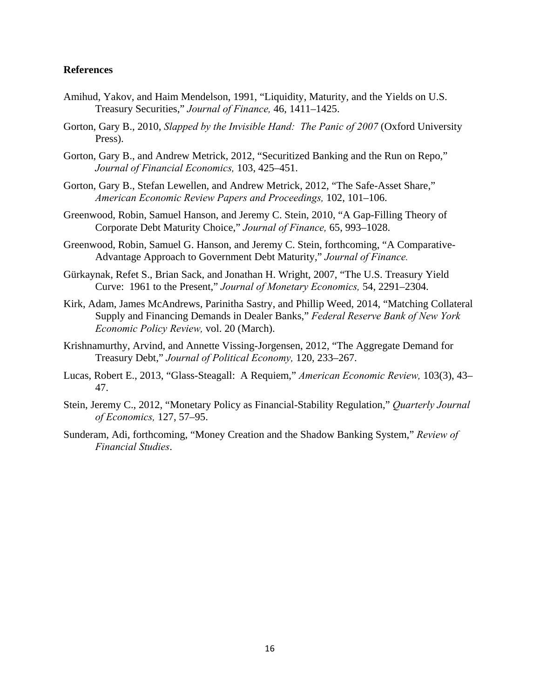#### **References**

- Amihud, Yakov, and Haim Mendelson, 1991, "Liquidity, Maturity, and the Yields on U.S. Treasury Securities," *Journal of Finance,* 46, 1411–1425.
- Gorton, Gary B., 2010, *Slapped by the Invisible Hand: The Panic of 2007* (Oxford University Press).
- Gorton, Gary B., and Andrew Metrick, 2012, "Securitized Banking and the Run on Repo," *Journal of Financial Economics,* 103, 425–451.
- Gorton, Gary B., Stefan Lewellen, and Andrew Metrick, 2012, "The Safe-Asset Share," *American Economic Review Papers and Proceedings,* 102, 101–106.
- Greenwood, Robin, Samuel Hanson, and Jeremy C. Stein, 2010, "A Gap-Filling Theory of Corporate Debt Maturity Choice," *Journal of Finance,* 65, 993–1028.
- Greenwood, Robin, Samuel G. Hanson, and Jeremy C. Stein, forthcoming, "A Comparative-Advantage Approach to Government Debt Maturity," *Journal of Finance.*
- Gürkaynak, Refet S., Brian Sack, and Jonathan H. Wright, 2007, "The U.S. Treasury Yield Curve: 1961 to the Present," *Journal of Monetary Economics,* 54, 2291–2304.
- Kirk, Adam, James McAndrews, Parinitha Sastry, and Phillip Weed, 2014, "Matching Collateral Supply and Financing Demands in Dealer Banks," *Federal Reserve Bank of New York Economic Policy Review,* vol. 20 (March).
- Krishnamurthy, Arvind, and Annette Vissing-Jorgensen, 2012, "The Aggregate Demand for Treasury Debt," *Journal of Political Economy,* 120, 233–267.
- Lucas, Robert E., 2013, "Glass-Steagall: A Requiem," *American Economic Review,* 103(3), 43– 47.
- Stein, Jeremy C., 2012, "Monetary Policy as Financial-Stability Regulation," *Quarterly Journal of Economics,* 127, 57–95.
- Sunderam, Adi, forthcoming, "Money Creation and the Shadow Banking System," *Review of Financial Studies*.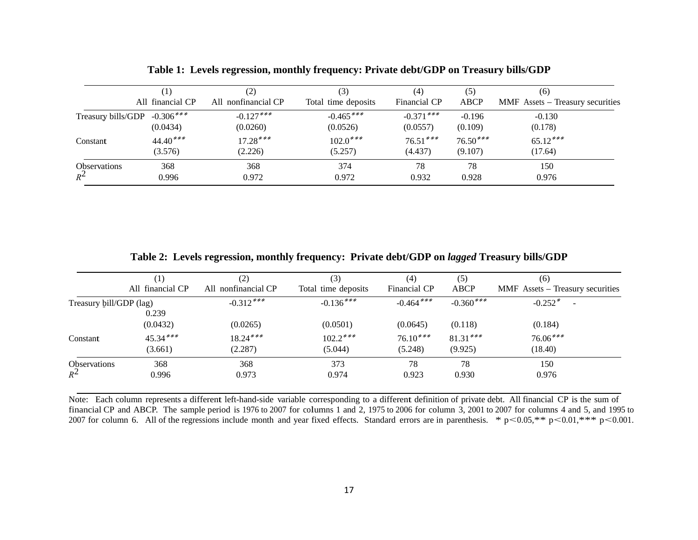|                              | $\left(1\right)$ | (2)                     | (3)                     | (4)                      | (5)                 | (6)                              |
|------------------------------|------------------|-------------------------|-------------------------|--------------------------|---------------------|----------------------------------|
|                              | All financial CP | All nonfinancial CP     | Total time deposits     | Financial CP             | ABCP                | MMF Assets – Treasury securities |
| Treasury bills/GDP -0.306*** | (0.0434)         | $-0.127***$<br>(0.0260) | $-0.465***$<br>(0.0526) | $-0.371$ ***<br>(0.0557) | $-0.196$<br>(0.109) | $-0.130$<br>(0.178)              |
| Constant                     | $44.40***$       | $17.28***$              | $102.0***$              | $76.51***$               | $76.50***$          | $65.12***$                       |
|                              | (3.576)          | (2.226)                 | (5.257)                 | (4.437)                  | (9.107)             | (17.64)                          |
| Observations                 | 368              | 368                     | 374                     | 78                       | 78                  | 150                              |
| $R^2$                        | 0.996            | 0.972                   | 0.972                   | 0.932                    | 0.928               | 0.976                            |

**Table 1: Levels regression, monthly frequency: Private debt/GDP on Treasury bills/GDP** 

**Table 2: Levels regression, monthly frequency: Private debt/GDP on** *lagged* **Treasury bills/GDP**

|                         | (1)              | (2)                 | (3)                 | (4)          | (5)         | (6)                              |
|-------------------------|------------------|---------------------|---------------------|--------------|-------------|----------------------------------|
|                         | All financial CP | All nonfinancial CP | Total time deposits | Financial CP | ABCP        | MMF Assets – Treasury securities |
| Treasury bill/GDP (lag) | 0.239            | $-0.312***$         | $-0.136***$         | $-0.464***$  | $-0.360***$ | $-0.252*$                        |
|                         | (0.0432)         | (0.0265)            | (0.0501)            | (0.0645)     | (0.118)     | (0.184)                          |
| Constant                | $45.34***$       | $18.24***$          | $102.2***$          | $76.10***$   | $81.31***$  | $76.06***$                       |
|                         | (3.661)          | (2.287)             | (5.044)             | (5.248)      | (9.925)     | (18.40)                          |
| <b>Observations</b>     | 368              | 368                 | 373                 | 78           | 78          | 150                              |
| $R^2$                   | 0.996            | 0.973               | 0.974               | 0.923        | 0.930       | 0.976                            |

Note: Each column represents a different left-hand-side variable corresponding to a different definition of private debt. All financial CP is the sum of financial CP and ABCP. The sample period is 1976 to 2007 for columns 1 and 2, 1975 to 2006 for column 3, 2001 to 2007 for columns 4 and 5, and 1995 to 2007 for column 6. All of the regressions include month and year fixed effects. Standard errors are in parenthesis. \* p*<*0.05,\*\* p*<*0.01,\*\*\* p*<*0.001.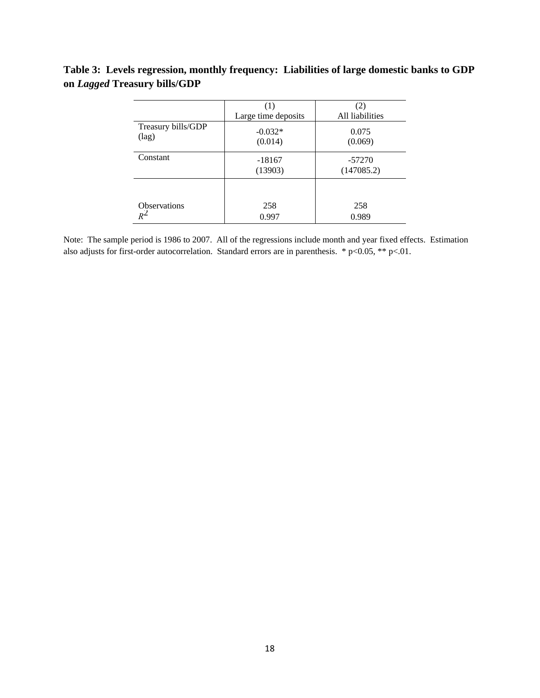|                     | (1)<br>Large time deposits | 2)<br>All liabilities  |  |
|---------------------|----------------------------|------------------------|--|
| Treasury bills/GDP  | $-0.032*$                  | 0.075                  |  |
| $(\text{lag})$      | (0.014)                    | (0.069)                |  |
| Constant            | $-18167$<br>(13903)        | $-57270$<br>(147085.2) |  |
| <b>Observations</b> | 258                        | 258                    |  |
| $R^2$               | 0.997                      | 0.989                  |  |

# **Table 3: Levels regression, monthly frequency: Liabilities of large domestic banks to GDP on** *Lagged* **Treasury bills/GDP**

Note: The sample period is 1986 to 2007. All of the regressions include month and year fixed effects. Estimation also adjusts for first-order autocorrelation. Standard errors are in parenthesis. \* p<0.05, \*\* p<0.1.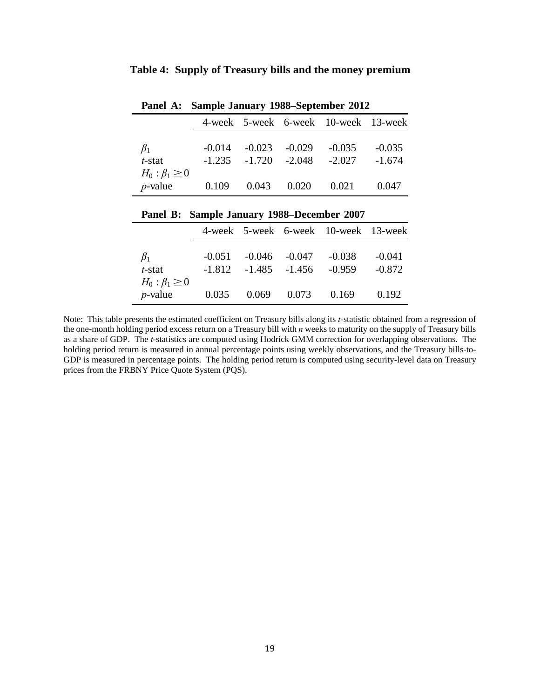|                                 | Panel A: Sample January 1988–September 2012 |          |          |                                      |          |  |
|---------------------------------|---------------------------------------------|----------|----------|--------------------------------------|----------|--|
|                                 |                                             |          |          | 4-week 5-week 6-week 10-week 13-week |          |  |
| $\beta_1$                       | $-0.014$                                    | $-0.023$ | $-0.029$ | $-0.035$                             | $-0.035$ |  |
| t-stat<br>$H_0: \beta_1 \geq 0$ | $-1.235$                                    | $-1.720$ | $-2.048$ | $-2.027$                             | $-1.674$ |  |
| $p$ -value                      | 0.109                                       | 0.043    | 0.020    | 0.021                                | 0.047    |  |

**Table 4: Supply of Treasury bills and the money premium**

|  |  |  |  | Panel B: Sample January 1988–December 2007 |  |
|--|--|--|--|--------------------------------------------|--|
|--|--|--|--|--------------------------------------------|--|

|                                          |  |  |                                     | 4-week 5-week 6-week 10-week 13-week |          |  |  |
|------------------------------------------|--|--|-------------------------------------|--------------------------------------|----------|--|--|
| $\beta_1$                                |  |  | $-0.051$ $-0.046$ $-0.047$ $-0.038$ |                                      | $-0.041$ |  |  |
| t-stat                                   |  |  |                                     | $-1.812$ $-1.485$ $-1.456$ $-0.959$  | $-0.872$ |  |  |
| $H_0: \beta_1 \geq 0$<br><i>p</i> -value |  |  | $0.035$ $0.069$ $0.073$ $0.169$     |                                      | 0.192    |  |  |

Note: This table presents the estimated coefficient on Treasury bills along its *t*-statistic obtained from a regression of the one-month holding period excess return on a Treasury bill with *n* weeks to maturity on the supply of Treasury bills as a share of GDP. The *t*-statistics are computed using Hodrick GMM correction for overlapping observations. The holding period return is measured in annual percentage points using weekly observations, and the Treasury bills-to-GDP is measured in percentage points. The holding period return is computed using security-level data on Treasury prices from the FRBNY Price Quote System (PQS).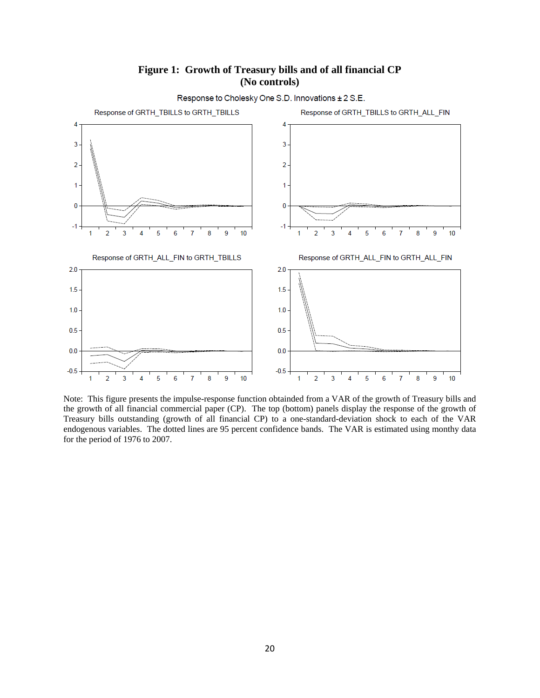## **Figure 1: Growth of Treasury bills and of all financial CP (No controls)**



Response to Cholesky One S.D. Innovations ± 2 S.E.

Note: This figure presents the impulse-response function obtainded from a VAR of the growth of Treasury bills and the growth of all financial commercial paper (CP). The top (bottom) panels display the response of the growth of Treasury bills outstanding (growth of all financial CP) to a one-standard-deviation shock to each of the VAR endogenous variables. The dotted lines are 95 percent confidence bands. The VAR is estimated using monthy data for the period of 1976 to 2007.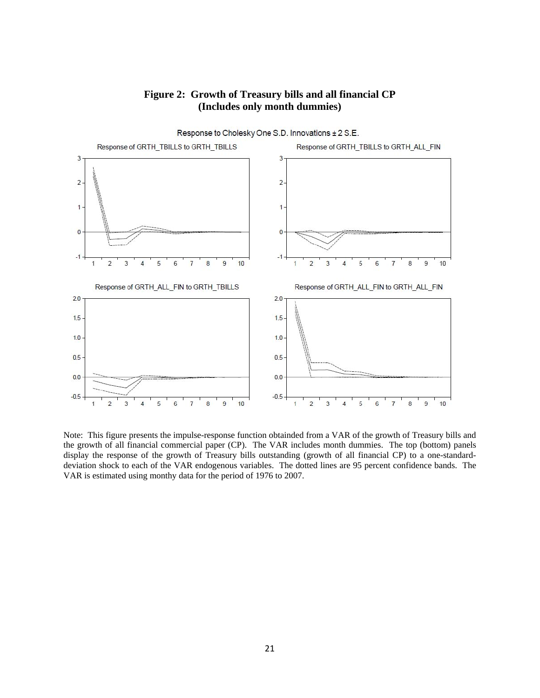

## **Figure 2: Growth of Treasury bills and all financial CP (Includes only month dummies)**

Note: This figure presents the impulse-response function obtainded from a VAR of the growth of Treasury bills and the growth of all financial commercial paper (CP). The VAR includes month dummies. The top (bottom) panels display the response of the growth of Treasury bills outstanding (growth of all financial CP) to a one-standarddeviation shock to each of the VAR endogenous variables. The dotted lines are 95 percent confidence bands. The VAR is estimated using monthy data for the period of 1976 to 2007.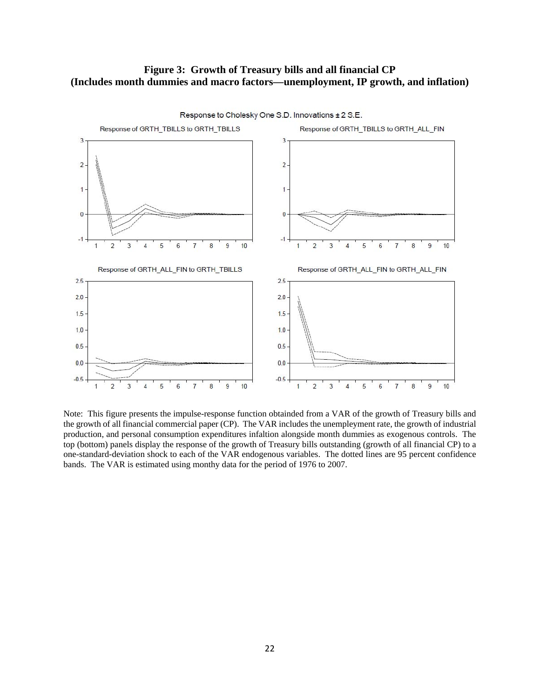### **Figure 3: Growth of Treasury bills and all financial CP (Includes month dummies and macro factors—unemployment, IP growth, and inflation)**



Response to Cholesky One S.D. Innovations ± 2 S.E.

Note: This figure presents the impulse-response function obtainded from a VAR of the growth of Treasury bills and the growth of all financial commercial paper (CP). The VAR includes the unempleyment rate, the growth of industrial production, and personal consumption expenditures infaltion alongside month dummies as exogenous controls. The top (bottom) panels display the response of the growth of Treasury bills outstanding (growth of all financial CP) to a one-standard-deviation shock to each of the VAR endogenous variables. The dotted lines are 95 percent confidence bands. The VAR is estimated using monthy data for the period of 1976 to 2007.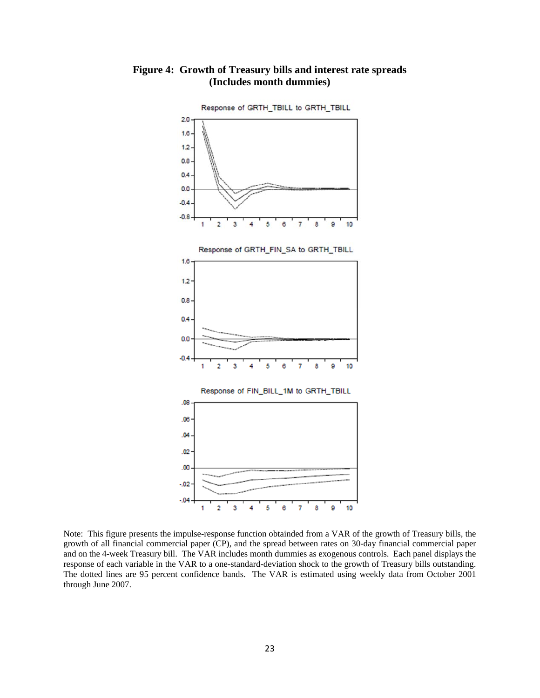

## **Figure 4: Growth of Treasury bills and interest rate spreads (Includes month dummies)**

Note: This figure presents the impulse-response function obtainded from a VAR of the growth of Treasury bills, the growth of all financial commercial paper (CP), and the spread between rates on 30-day financial commercial paper and on the 4-week Treasury bill. The VAR includes month dummies as exogenous controls. Each panel displays the response of each variable in the VAR to a one-standard-deviation shock to the growth of Treasury bills outstanding. The dotted lines are 95 percent confidence bands. The VAR is estimated using weekly data from October 2001 through June 2007.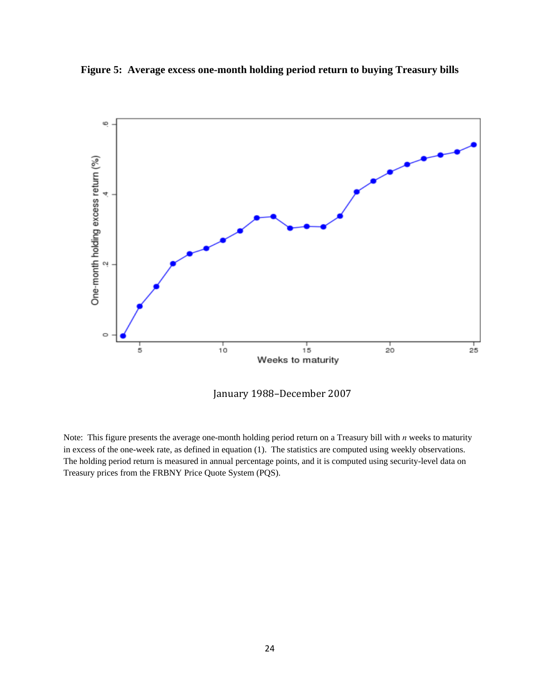



January 1988-December 2007

Note: This figure presents the average one-month holding period return on a Treasury bill with *n* weeks to maturity in excess of the one-week rate, as defined in equation (1). The statistics are computed using weekly observations. The holding period return is measured in annual percentage points, and it is computed using security-level data on Treasury prices from the FRBNY Price Quote System (PQS).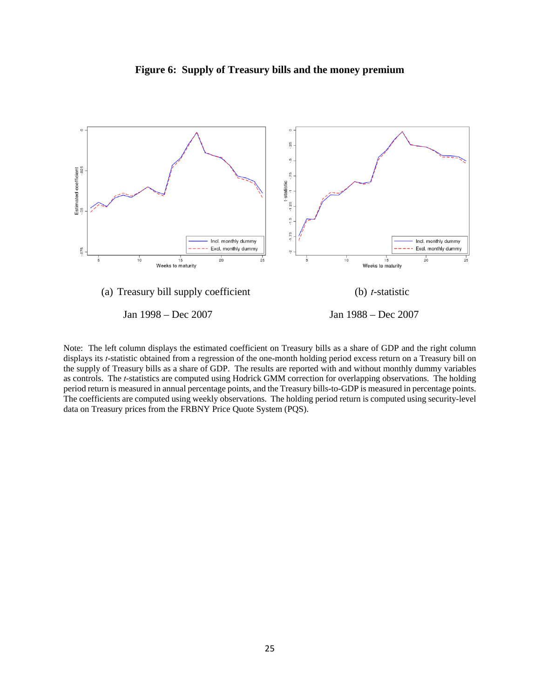



Note: The left column displays the estimated coefficient on Treasury bills as a share of GDP and the right column displays its *t*-statistic obtained from a regression of the one-month holding period excess return on a Treasury bill on the supply of Treasury bills as a share of GDP. The results are reported with and without monthly dummy variables as controls. The *t*-statistics are computed using Hodrick GMM correction for overlapping observations. The holding period return is measured in annual percentage points, and the Treasury bills-to-GDP is measured in percentage points. The coefficients are computed using weekly observations. The holding period return is computed using security-level data on Treasury prices from the FRBNY Price Quote System (PQS).